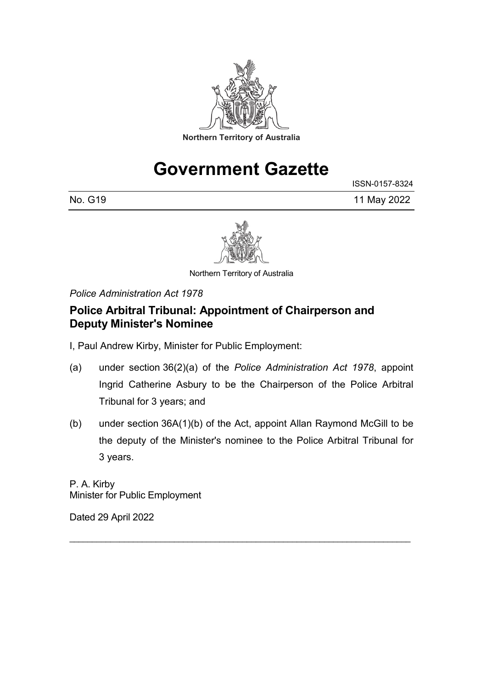

# **Government Gazette**

ISSN-0157-8324

No. G19 11 May 2022



Northern Territory of Australia

*Police Administration Act 1978*

### **Police Arbitral Tribunal: Appointment of Chairperson and Deputy Minister's Nominee**

I, Paul Andrew Kirby, Minister for Public Employment:

- (a) under section 36(2)(a) of the *Police Administration Act 1978*, appoint Ingrid Catherine Asbury to be the Chairperson of the Police Arbitral Tribunal for 3 years; and
- (b) under section 36A(1)(b) of the Act, appoint Allan Raymond McGill to be the deputy of the Minister's nominee to the Police Arbitral Tribunal for 3 years.

\_\_\_\_\_\_\_\_\_\_\_\_\_\_\_\_\_\_\_\_\_\_\_\_\_\_\_\_\_\_\_\_\_\_\_\_\_\_\_\_\_\_\_\_\_\_\_\_\_\_\_\_\_\_\_\_\_\_\_\_\_\_\_\_\_\_\_\_\_\_\_\_\_\_\_

P. A. Kirby Minister for Public Employment

Dated 29 April 2022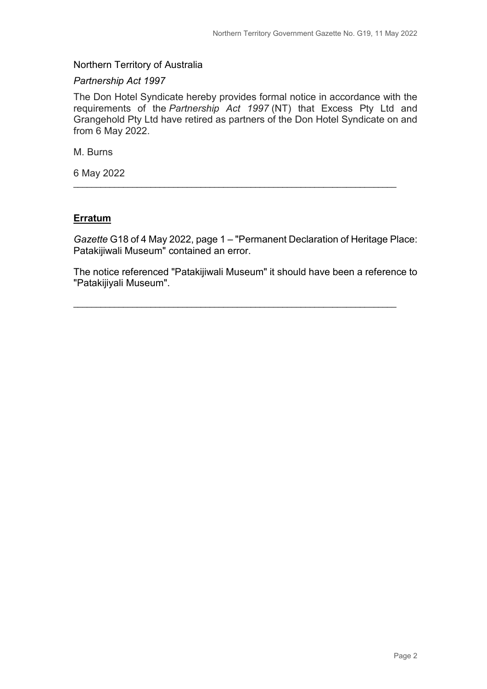#### Northern Territory of Australia

#### *Partnership Act 1997*

The Don Hotel Syndicate hereby provides formal notice in accordance with the requirements of the *Partnership Act 1997* (NT) that Excess Pty Ltd and Grangehold Pty Ltd have retired as partners of the Don Hotel Syndicate on and from 6 May 2022.

M. Burns

6 May 2022

#### **Erratum**

*Gazette* G18 of 4 May 2022, page 1 – "Permanent Declaration of Heritage Place: Patakijiwali Museum" contained an error.

\_\_\_\_\_\_\_\_\_\_\_\_\_\_\_\_\_\_\_\_\_\_\_\_\_\_\_\_\_\_\_\_\_\_\_\_\_\_\_\_\_\_\_\_\_\_\_\_\_\_\_\_\_\_\_\_\_\_\_\_\_\_\_\_\_\_\_\_\_\_\_

The notice referenced "Patakijiwali Museum" it should have been a reference to "Patakijiyali Museum".

\_\_\_\_\_\_\_\_\_\_\_\_\_\_\_\_\_\_\_\_\_\_\_\_\_\_\_\_\_\_\_\_\_\_\_\_\_\_\_\_\_\_\_\_\_\_\_\_\_\_\_\_\_\_\_\_\_\_\_\_\_\_\_\_\_\_\_\_\_\_\_